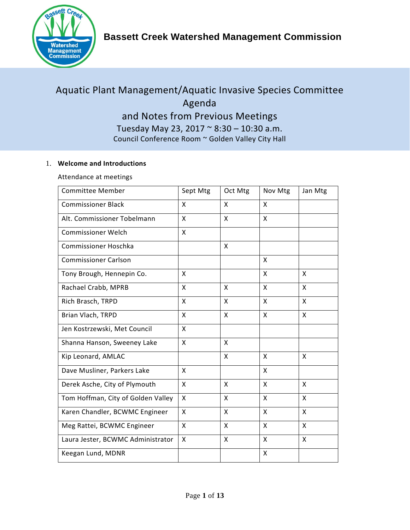

# Aquatic Plant Management/Aquatic Invasive Species Committee Agenda and Notes from Previous Meetings Tuesday May 23, 2017 ~ 8:30 – 10:30 a.m. Council Conference Room ~ Golden Valley City Hall

# 1. **Welcome and Introductions**

Attendance at meetings

| <b>Committee Member</b>            | Sept Mtg     | Oct Mtg      | Nov Mtg | Jan Mtg |
|------------------------------------|--------------|--------------|---------|---------|
| <b>Commissioner Black</b>          | X            | X            | X       |         |
| Alt. Commissioner Tobelmann        | X            | X            | X       |         |
| <b>Commissioner Welch</b>          | X            |              |         |         |
| Commissioner Hoschka               |              | X            |         |         |
| <b>Commissioner Carlson</b>        |              |              | X       |         |
| Tony Brough, Hennepin Co.          | X            |              | X       | X       |
| Rachael Crabb, MPRB                | X            | X            | X       | X       |
| Rich Brasch, TRPD                  | X            | X            | X       | X       |
| Brian Vlach, TRPD                  | X            | $\mathsf{x}$ | X       | X       |
| Jen Kostrzewski, Met Council       | X            |              |         |         |
| Shanna Hanson, Sweeney Lake        | X            | $\mathsf{x}$ |         |         |
| Kip Leonard, AMLAC                 |              | X            | X       | X       |
| Dave Musliner, Parkers Lake        | X            |              | X       |         |
| Derek Asche, City of Plymouth      | X            | $\mathsf{x}$ | X       | X       |
| Tom Hoffman, City of Golden Valley | $\mathsf{x}$ | X            | X       | X       |
| Karen Chandler, BCWMC Engineer     | X            | X            | X       | X       |
| Meg Rattei, BCWMC Engineer         | X            | $\mathsf{x}$ | X       | X       |
| Laura Jester, BCWMC Administrator  | X            | X            | X       | X       |
| Keegan Lund, MDNR                  |              |              | X       |         |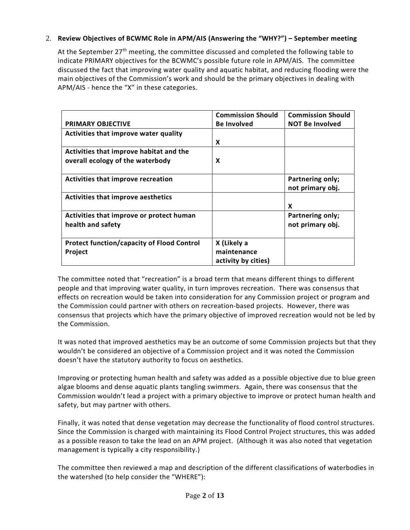# 2. **Review Objectives of BCWMC Role in APM/AIS (Answering the "WHY?") – September meeting**

At the September 27<sup>th</sup> meeting, the committee discussed and completed the following table to indicate PRIMARY objectives for the BCWMC's possible future role in APM/AIS. The committee discussed the fact that improving water quality and aquatic habitat, and reducing flooding were the main objectives of the Commission's work and should be the primary objectives in dealing with APM/AIS - hence the "X" in these categories.

|                                                                             | <b>Commission Should</b>                          | <b>Commission Should</b>             |
|-----------------------------------------------------------------------------|---------------------------------------------------|--------------------------------------|
| <b>PRIMARY OBJECTIVE</b>                                                    | <b>Be Involved</b>                                | <b>NOT Be Involved</b>               |
| Activities that improve water quality                                       |                                                   |                                      |
|                                                                             | X                                                 |                                      |
| Activities that improve habitat and the<br>overall ecology of the waterbody | X                                                 |                                      |
| <b>Activities that improve recreation</b>                                   |                                                   | Partnering only;<br>not primary obj. |
| <b>Activities that improve aesthetics</b>                                   |                                                   | X                                    |
| Activities that improve or protect human<br>health and safety               |                                                   | Partnering only;<br>not primary obj. |
| <b>Protect function/capacity of Flood Control</b><br>Project                | X (Likely a<br>maintenance<br>activity by cities) |                                      |

The committee noted that "recreation" is a broad term that means different things to different people and that improving water quality, in turn improves recreation. There was consensus that effects on recreation would be taken into consideration for any Commission project or program and the Commission could partner with others on recreation-based projects. However, there was consensus that projects which have the primary objective of improved recreation would not be led by the Commission.

It was noted that improved aesthetics may be an outcome of some Commission projects but that they wouldn't be considered an objective of a Commission project and it was noted the Commission doesn't have the statutory authority to focus on aesthetics.

Improving or protecting human health and safety was added as a possible objective due to blue green algae blooms and dense aquatic plants tangling swimmers. Again, there was consensus that the Commission wouldn't lead a project with a primary objective to improve or protect human health and safety, but may partner with others.

Finally, it was noted that dense vegetation may decrease the functionality of flood control structures. Since the Commission is charged with maintaining its Flood Control Project structures, this was added as a possible reason to take the lead on an APM project. (Although it was also noted that vegetation management is typically a city responsibility.)

The committee then reviewed a map and description of the different classifications of waterbodies in the watershed (to help consider the "WHERE"):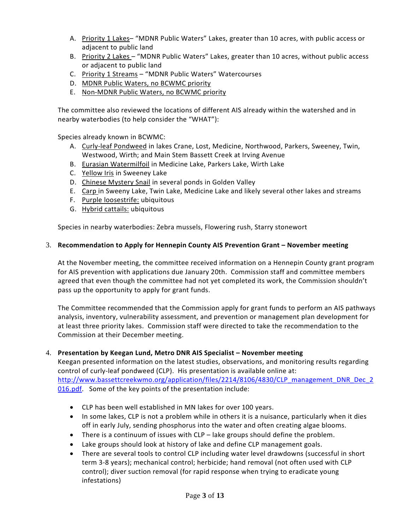- A. Priority 1 Lakes– "MDNR Public Waters" Lakes, greater than 10 acres, with public access or adjacent to public land
- B. Priority 2 Lakes "MDNR Public Waters" Lakes, greater than 10 acres, without public access or adjacent to public land
- C. Priority 1 Streams "MDNR Public Waters" Watercourses
- D. MDNR Public Waters, no BCWMC priority
- E. Non-MDNR Public Waters, no BCWMC priority

The committee also reviewed the locations of different AIS already within the watershed and in nearby waterbodies (to help consider the "WHAT"):

Species already known in BCWMC:

- A. Curly-leaf Pondweed in lakes Crane, Lost, Medicine, Northwood, Parkers, Sweeney, Twin, Westwood, Wirth; and Main Stem Bassett Creek at Irving Avenue
- B. Eurasian Watermilfoil in Medicine Lake, Parkers Lake, Wirth Lake
- C. Yellow Iris in Sweeney Lake
- D. Chinese Mystery Snail in several ponds in Golden Valley
- E. Carp in Sweeny Lake, Twin Lake, Medicine Lake and likely several other lakes and streams
- F. Purple loosestrife: ubiquitous
- G. Hybrid cattails: ubiquitous

Species in nearby waterbodies: Zebra mussels, Flowering rush, Starry stonewort

### 3. **Recommendation to Apply for Hennepin County AIS Prevention Grant – November meeting**

At the November meeting, the committee received information on a Hennepin County grant program for AIS prevention with applications due January 20th. Commission staff and committee members agreed that even though the committee had not yet completed its work, the Commission shouldn't pass up the opportunity to apply for grant funds.

The Committee recommended that the Commission apply for grant funds to perform an AIS pathways analysis, inventory, vulnerability assessment, and prevention or management plan development for at least three priority lakes. Commission staff were directed to take the recommendation to the Commission at their December meeting.

### 4. **Presentation by Keegan Lund, Metro DNR AIS Specialist – November meeting**

Keegan presented information on the latest studies, observations, and monitoring results regarding control of curly-leaf pondweed (CLP). His presentation is available online at: [http://www.bassettcreekwmo.org/application/files/2214/8106/4830/CLP\\_management\\_DNR\\_Dec\\_2](http://www.bassettcreekwmo.org/application/files/2214/8106/4830/CLP_management_DNR_Dec_2016.pdf) [016.pdf.](http://www.bassettcreekwmo.org/application/files/2214/8106/4830/CLP_management_DNR_Dec_2016.pdf) Some of the key points of the presentation include:

- CLP has been well established in MN lakes for over 100 years.
- In some lakes, CLP is not a problem while in others it is a nuisance, particularly when it dies off in early July, sending phosphorus into the water and often creating algae blooms.
- There is a continuum of issues with CLP lake groups should define the problem.
- Lake groups should look at history of lake and define CLP management goals.
- There are several tools to control CLP including water level drawdowns (successful in short term 3-8 years); mechanical control; herbicide; hand removal (not often used with CLP control); diver suction removal (for rapid response when trying to eradicate young infestations)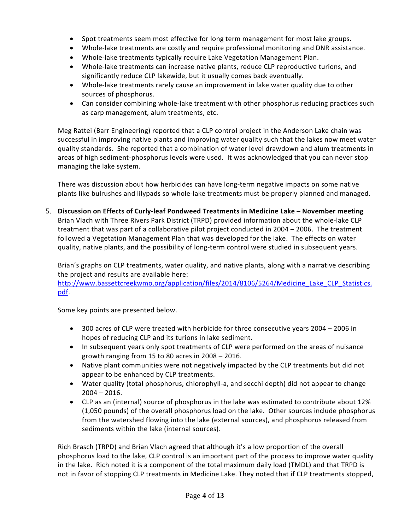- Spot treatments seem most effective for long term management for most lake groups.
- Whole-lake treatments are costly and require professional monitoring and DNR assistance.
- Whole-lake treatments typically require Lake Vegetation Management Plan.
- Whole-lake treatments can increase native plants, reduce CLP reproductive turions, and significantly reduce CLP lakewide, but it usually comes back eventually.
- Whole-lake treatments rarely cause an improvement in lake water quality due to other sources of phosphorus.
- Can consider combining whole-lake treatment with other phosphorus reducing practices such as carp management, alum treatments, etc.

Meg Rattei (Barr Engineering) reported that a CLP control project in the Anderson Lake chain was successful in improving native plants and improving water quality such that the lakes now meet water quality standards. She reported that a combination of water level drawdown and alum treatments in areas of high sediment-phosphorus levels were used. It was acknowledged that you can never stop managing the lake system.

There was discussion about how herbicides can have long-term negative impacts on some native plants like bulrushes and lilypads so whole-lake treatments must be properly planned and managed.

5. **Discussion on Effects of Curly-leaf Pondweed Treatments in Medicine Lake – November meeting** Brian Vlach with Three Rivers Park District (TRPD) provided information about the whole-lake CLP treatment that was part of a collaborative pilot project conducted in 2004 – 2006. The treatment followed a Vegetation Management Plan that was developed for the lake. The effects on water quality, native plants, and the possibility of long-term control were studied in subsequent years.

Brian's graphs on CLP treatments, water quality, and native plants, along with a narrative describing the project and results are available here:

[http://www.bassettcreekwmo.org/application/files/2014/8106/5264/Medicine\\_Lake\\_CLP\\_Statistics.](http://www.bassettcreekwmo.org/application/files/2014/8106/5264/Medicine_Lake_CLP_Statistics.pdf) [pdf.](http://www.bassettcreekwmo.org/application/files/2014/8106/5264/Medicine_Lake_CLP_Statistics.pdf)

Some key points are presented below.

- 300 acres of CLP were treated with herbicide for three consecutive years 2004 2006 in hopes of reducing CLP and its turions in lake sediment.
- In subsequent years only spot treatments of CLP were performed on the areas of nuisance growth ranging from 15 to 80 acres in 2008 – 2016.
- Native plant communities were not negatively impacted by the CLP treatments but did not appear to be enhanced by CLP treatments.
- Water quality (total phosphorus, chlorophyll-a, and secchi depth) did not appear to change  $2004 - 2016$ .
- CLP as an (internal) source of phosphorus in the lake was estimated to contribute about 12% (1,050 pounds) of the overall phosphorus load on the lake. Other sources include phosphorus from the watershed flowing into the lake (external sources), and phosphorus released from sediments within the lake (internal sources).

Rich Brasch (TRPD) and Brian Vlach agreed that although it's a low proportion of the overall phosphorus load to the lake, CLP control is an important part of the process to improve water quality in the lake. Rich noted it is a component of the total maximum daily load (TMDL) and that TRPD is not in favor of stopping CLP treatments in Medicine Lake. They noted that if CLP treatments stopped,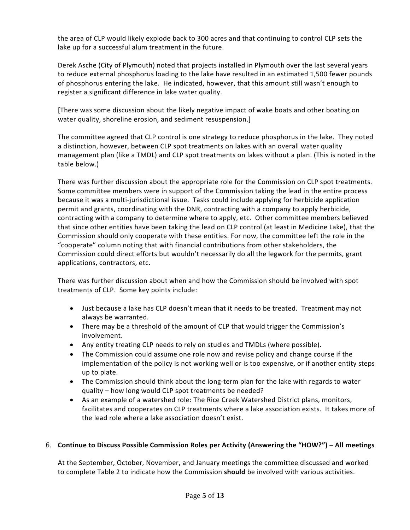the area of CLP would likely explode back to 300 acres and that continuing to control CLP sets the lake up for a successful alum treatment in the future.

Derek Asche (City of Plymouth) noted that projects installed in Plymouth over the last several years to reduce external phosphorus loading to the lake have resulted in an estimated 1,500 fewer pounds of phosphorus entering the lake. He indicated, however, that this amount still wasn't enough to register a significant difference in lake water quality.

[There was some discussion about the likely negative impact of wake boats and other boating on water quality, shoreline erosion, and sediment resuspension.]

The committee agreed that CLP control is one strategy to reduce phosphorus in the lake. They noted a distinction, however, between CLP spot treatments on lakes with an overall water quality management plan (like a TMDL) and CLP spot treatments on lakes without a plan. (This is noted in the table below.)

There was further discussion about the appropriate role for the Commission on CLP spot treatments. Some committee members were in support of the Commission taking the lead in the entire process because it was a multi-jurisdictional issue. Tasks could include applying for herbicide application permit and grants, coordinating with the DNR, contracting with a company to apply herbicide, contracting with a company to determine where to apply, etc. Other committee members believed that since other entities have been taking the lead on CLP control (at least in Medicine Lake), that the Commission should only cooperate with these entities. For now, the committee left the role in the "cooperate" column noting that with financial contributions from other stakeholders, the Commission could direct efforts but wouldn't necessarily do all the legwork for the permits, grant applications, contractors, etc.

There was further discussion about when and how the Commission should be involved with spot treatments of CLP. Some key points include:

- Just because a lake has CLP doesn't mean that it needs to be treated. Treatment may not always be warranted.
- There may be a threshold of the amount of CLP that would trigger the Commission's involvement.
- Any entity treating CLP needs to rely on studies and TMDLs (where possible).
- The Commission could assume one role now and revise policy and change course if the implementation of the policy is not working well or is too expensive, or if another entity steps up to plate.
- The Commission should think about the long-term plan for the lake with regards to water quality – how long would CLP spot treatments be needed?
- As an example of a watershed role: The Rice Creek Watershed District plans, monitors, facilitates and cooperates on CLP treatments where a lake association exists. It takes more of the lead role where a lake association doesn't exist.

## 6. **Continue to Discuss Possible Commission Roles per Activity (Answering the "HOW?") – All meetings**

At the September, October, November, and January meetings the committee discussed and worked to complete Table 2 to indicate how the Commission **should** be involved with various activities.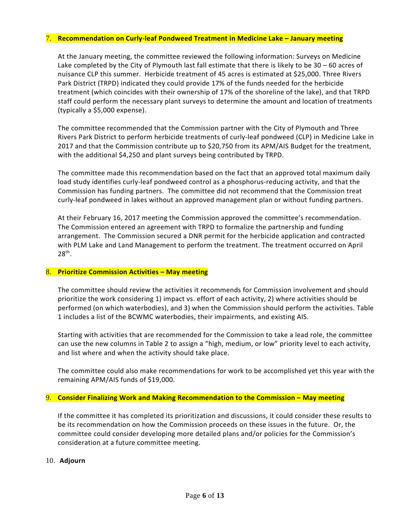#### 7. **Recommendation on Curly-leaf Pondweed Treatment in Medicine Lake – January meeting**

At the January meeting, the committee reviewed the following information: Surveys on Medicine Lake completed by the City of Plymouth last fall estimate that there is likely to be 30 – 60 acres of nuisance CLP this summer. Herbicide treatment of 45 acres is estimated at \$25,000. Three Rivers Park District (TRPD) indicated they could provide 17% of the funds needed for the herbicide treatment (which coincides with their ownership of 17% of the shoreline of the lake), and that TRPD staff could perform the necessary plant surveys to determine the amount and location of treatments (typically a \$5,000 expense).

The committee recommended that the Commission partner with the City of Plymouth and Three Rivers Park District to perform herbicide treatments of curly-leaf pondweed (CLP) in Medicine Lake in 2017 and that the Commission contribute up to \$20,750 from its APM/AIS Budget for the treatment, with the additional \$4,250 and plant surveys being contributed by TRPD.

The committee made this recommendation based on the fact that an approved total maximum daily load study identifies curly-leaf pondweed control as a phosphorus-reducing activity, and that the Commission has funding partners. The committee did not recommend that the Commission treat curly-leaf pondweed in lakes without an approved management plan or without funding partners.

At their February 16, 2017 meeting the Commission approved the committee's recommendation. The Commission entered an agreement with TRPD to formalize the partnership and funding arrangement. The Commission secured a DNR permit for the herbicide application and contracted with PLM Lake and Land Management to perform the treatment. The treatment occurred on April 28th.

#### 8. **Prioritize Commission Activities – May meeting**

The committee should review the activities it recommends for Commission involvement and should prioritize the work considering 1) impact vs. effort of each activity, 2) where activities should be performed (on which waterbodies), and 3) when the Commission should perform the activities. Table 1 includes a list of the BCWMC waterbodies, their impairments, and existing AIS.

Starting with activities that are recommended for the Commission to take a lead role, the committee can use the new columns in Table 2 to assign a "high, medium, or low" priority level to each activity, and list where and when the activity should take place.

The committee could also make recommendations for work to be accomplished yet this year with the remaining APM/AIS funds of \$19,000.

#### 9. **Consider Finalizing Work and Making Recommendation to the Commission – May meeting**

If the committee it has completed its prioritization and discussions, it could consider these results to be its recommendation on how the Commission proceeds on these issues in the future. Or, the committee could consider developing more detailed plans and/or policies for the Commission's consideration at a future committee meeting.

### 10. **Adjourn**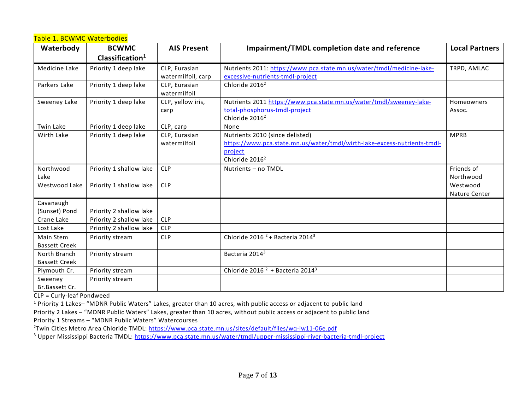## Table 1. BCWMC Waterbodies

| Waterbody            | <b>BCWMC</b>               | <b>AIS Present</b>            | <b>Impairment/TMDL completion date and reference</b>                     | <b>Local Partners</b> |
|----------------------|----------------------------|-------------------------------|--------------------------------------------------------------------------|-----------------------|
|                      | Clasification <sup>1</sup> |                               |                                                                          |                       |
| Medicine Lake        | Priority 1 deep lake       | CLP, Eurasian                 | Nutrients 2011: https://www.pca.state.mn.us/water/tmdl/medicine-lake-    | TRPD, AMLAC           |
|                      |                            | watermilfoil, carp            | excessive-nutrients-tmdl-project                                         |                       |
| Parkers Lake         | Priority 1 deep lake       | CLP, Eurasian<br>watermilfoil | Chloride 2016 <sup>2</sup>                                               |                       |
| Sweeney Lake         | Priority 1 deep lake       | CLP, yellow iris,             | Nutrients 2011 https://www.pca.state.mn.us/water/tmdl/sweeney-lake-      | Homeowners            |
|                      |                            | carp                          | total-phosphorus-tmdl-project                                            | Assoc.                |
|                      |                            |                               | Chloride 2016 <sup>2</sup>                                               |                       |
| Twin Lake            | Priority 1 deep lake       | CLP, carp                     | None                                                                     |                       |
| Wirth Lake           | Priority 1 deep lake       | CLP, Eurasian                 | Nutrients 2010 (since delisted)                                          | <b>MPRB</b>           |
|                      |                            | watermilfoil                  | https://www.pca.state.mn.us/water/tmdl/wirth-lake-excess-nutrients-tmdl- |                       |
|                      |                            |                               | project                                                                  |                       |
|                      |                            |                               | Chloride 2016 <sup>2</sup>                                               |                       |
| Northwood            | Priority 1 shallow lake    | <b>CLP</b>                    | Nutrients - no TMDL                                                      | Friends of            |
| Lake                 |                            |                               |                                                                          | Northwood             |
| Westwood Lake        | Priority 1 shallow lake    | <b>CLP</b>                    |                                                                          | Westwood              |
|                      |                            |                               |                                                                          | Nature Center         |
| Cavanaugh            |                            |                               |                                                                          |                       |
| (Sunset) Pond        | Priority 2 shallow lake    |                               |                                                                          |                       |
| Crane Lake           | Priority 2 shallow lake    | <b>CLP</b>                    |                                                                          |                       |
| Lost Lake            | Priority 2 shallow lake    | <b>CLP</b>                    |                                                                          |                       |
| Main Stem            | Priority stream            | <b>CLP</b>                    | Chloride 2016 <sup><math>2</math></sup> + Bacteria 2014 <sup>3</sup>     |                       |
| <b>Bassett Creek</b> |                            |                               |                                                                          |                       |
| North Branch         | Priority stream            |                               | Bacteria 2014 <sup>3</sup>                                               |                       |
| <b>Bassett Creek</b> |                            |                               |                                                                          |                       |
| Plymouth Cr.         | Priority stream            |                               | Chloride 2016 <sup>2</sup> + Bacteria 2014 <sup>3</sup>                  |                       |
| Sweeney              | Priority stream            |                               |                                                                          |                       |
| Br.Bassett Cr.       |                            |                               |                                                                          |                       |

CLP = Curly-leaf Pondweed

<sup>1</sup> Priority 1 Lakes– "MDNR Public Waters" Lakes, greater than 10 acres, with public access or adjacent to public land

Priority 2 Lakes – "MDNR Public Waters" Lakes, greater than 10 acres, without public access or adjacent to public land

Priority 1 Streams – "MDNR Public Waters" Watercourses

<sup>2</sup>Twin Cities Metro Area Chloride TMDL:<https://www.pca.state.mn.us/sites/default/files/wq-iw11-06e.pdf>

<sup>3</sup> Upper Mississippi Bacteria TMDL: <https://www.pca.state.mn.us/water/tmdl/upper-mississippi-river-bacteria-tmdl-project>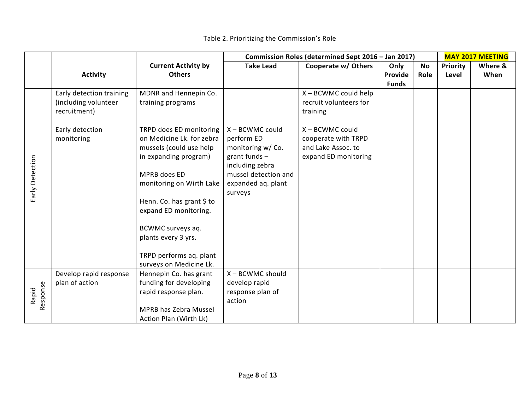|                   |                          |                            | Commission Roles (determined Sept 2016 - Jan 2017) |                        |              |      |                 |         |  |  | <b>MAY 2017 MEETING</b> |
|-------------------|--------------------------|----------------------------|----------------------------------------------------|------------------------|--------------|------|-----------------|---------|--|--|-------------------------|
|                   |                          | <b>Current Activity by</b> | <b>Take Lead</b>                                   | Cooperate w/ Others    | Only         | No   | <b>Priority</b> | Where & |  |  |                         |
|                   | <b>Activity</b>          | <b>Others</b>              |                                                    |                        | Provide      | Role | Level           | When    |  |  |                         |
|                   |                          |                            |                                                    |                        | <b>Funds</b> |      |                 |         |  |  |                         |
|                   | Early detection training | MDNR and Hennepin Co.      |                                                    | X - BCWMC could help   |              |      |                 |         |  |  |                         |
|                   | (including volunteer     | training programs          |                                                    | recruit volunteers for |              |      |                 |         |  |  |                         |
|                   | recruitment)             |                            |                                                    | training               |              |      |                 |         |  |  |                         |
|                   | Early detection          | TRPD does ED monitoring    | X - BCWMC could                                    | X - BCWMC could        |              |      |                 |         |  |  |                         |
|                   | monitoring               | on Medicine Lk. for zebra  | perform ED                                         | cooperate with TRPD    |              |      |                 |         |  |  |                         |
|                   |                          | mussels (could use help    | monitoring w/Co.                                   | and Lake Assoc. to     |              |      |                 |         |  |  |                         |
|                   |                          | in expanding program)      | grant funds -                                      | expand ED monitoring   |              |      |                 |         |  |  |                         |
|                   |                          |                            | including zebra                                    |                        |              |      |                 |         |  |  |                         |
|                   |                          | MPRB does ED               | mussel detection and                               |                        |              |      |                 |         |  |  |                         |
| Early Detection   |                          | monitoring on Wirth Lake   | expanded ag. plant                                 |                        |              |      |                 |         |  |  |                         |
|                   |                          |                            | surveys                                            |                        |              |      |                 |         |  |  |                         |
|                   |                          | Henn. Co. has grant \$ to  |                                                    |                        |              |      |                 |         |  |  |                         |
|                   |                          | expand ED monitoring.      |                                                    |                        |              |      |                 |         |  |  |                         |
|                   |                          | BCWMC surveys aq.          |                                                    |                        |              |      |                 |         |  |  |                         |
|                   |                          | plants every 3 yrs.        |                                                    |                        |              |      |                 |         |  |  |                         |
|                   |                          |                            |                                                    |                        |              |      |                 |         |  |  |                         |
|                   |                          | TRPD performs aq. plant    |                                                    |                        |              |      |                 |         |  |  |                         |
|                   |                          | surveys on Medicine Lk.    |                                                    |                        |              |      |                 |         |  |  |                         |
|                   | Develop rapid response   | Hennepin Co. has grant     | X - BCWMC should                                   |                        |              |      |                 |         |  |  |                         |
|                   | plan of action           | funding for developing     | develop rapid                                      |                        |              |      |                 |         |  |  |                         |
| Response<br>Rapid |                          | rapid response plan.       | response plan of                                   |                        |              |      |                 |         |  |  |                         |
|                   |                          |                            | action                                             |                        |              |      |                 |         |  |  |                         |
|                   |                          | MPRB has Zebra Mussel      |                                                    |                        |              |      |                 |         |  |  |                         |
|                   |                          | Action Plan (Wirth Lk)     |                                                    |                        |              |      |                 |         |  |  |                         |

Table 2. Prioritizing the Commission's Role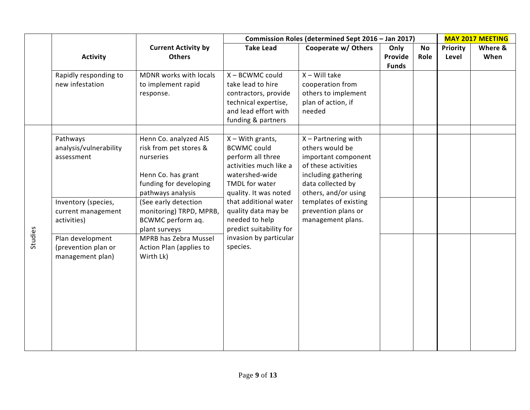|         |                                                             |                                                                                                                                   | Commission Roles (determined Sept 2016 - Jan 2017)                                                                                                   |                                                                                                                                                            |                                 |                   | <b>MAY 2017 MEETING</b>  |                 |  |
|---------|-------------------------------------------------------------|-----------------------------------------------------------------------------------------------------------------------------------|------------------------------------------------------------------------------------------------------------------------------------------------------|------------------------------------------------------------------------------------------------------------------------------------------------------------|---------------------------------|-------------------|--------------------------|-----------------|--|
|         | <b>Activity</b>                                             | <b>Current Activity by</b><br><b>Others</b>                                                                                       | <b>Take Lead</b>                                                                                                                                     | Cooperate w/ Others                                                                                                                                        | Only<br>Provide<br><b>Funds</b> | <b>No</b><br>Role | <b>Priority</b><br>Level | Where &<br>When |  |
|         | Rapidly responding to<br>new infestation                    | MDNR works with locals<br>to implement rapid<br>response.                                                                         | X - BCWMC could<br>take lead to hire<br>contractors, provide<br>technical expertise,<br>and lead effort with<br>funding & partners                   | $X - Will$ take<br>cooperation from<br>others to implement<br>plan of action, if<br>needed                                                                 |                                 |                   |                          |                 |  |
|         | Pathways<br>analysis/vulnerability<br>assessment            | Henn Co. analyzed AIS<br>risk from pet stores &<br>nurseries<br>Henn Co. has grant<br>funding for developing<br>pathways analysis | $X - With$ grants,<br><b>BCWMC could</b><br>perform all three<br>activities much like a<br>watershed-wide<br>TMDL for water<br>quality. It was noted | $X$ – Partnering with<br>others would be<br>important component<br>of these activities<br>including gathering<br>data collected by<br>others, and/or using |                                 |                   |                          |                 |  |
|         | Inventory (species,<br>current management<br>activities)    | (See early detection<br>monitoring) TRPD, MPRB,<br>BCWMC perform aq.<br>plant surveys                                             | that additional water<br>quality data may be<br>needed to help<br>predict suitability for                                                            | templates of existing<br>prevention plans or<br>management plans.                                                                                          |                                 |                   |                          |                 |  |
| Studies | Plan development<br>(prevention plan or<br>management plan) | MPRB has Zebra Mussel<br>Action Plan (applies to<br>Wirth Lk)                                                                     | invasion by particular<br>species.                                                                                                                   |                                                                                                                                                            |                                 |                   |                          |                 |  |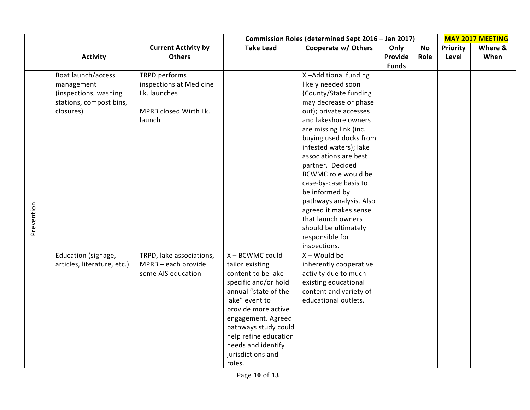|            |                                                                                                   |                                                                                             | Commission Roles (determined Sept 2016 - Jan 2017)                                                                                                                                                                                                                            |                                                                                                                                                                                                                                                                                                                                                                                                                                                                                         |                 | <b>MAY 2017 MEETING</b> |                          |                 |
|------------|---------------------------------------------------------------------------------------------------|---------------------------------------------------------------------------------------------|-------------------------------------------------------------------------------------------------------------------------------------------------------------------------------------------------------------------------------------------------------------------------------|-----------------------------------------------------------------------------------------------------------------------------------------------------------------------------------------------------------------------------------------------------------------------------------------------------------------------------------------------------------------------------------------------------------------------------------------------------------------------------------------|-----------------|-------------------------|--------------------------|-----------------|
|            | <b>Activity</b>                                                                                   | <b>Current Activity by</b><br><b>Others</b>                                                 | <b>Take Lead</b>                                                                                                                                                                                                                                                              | Cooperate w/ Others                                                                                                                                                                                                                                                                                                                                                                                                                                                                     | Only<br>Provide | <b>No</b><br>Role       | <b>Priority</b><br>Level | Where &<br>When |
| Prevention | Boat launch/access<br>management<br>(inspections, washing<br>stations, compost bins,<br>closures) | TRPD performs<br>inspections at Medicine<br>Lk. launches<br>MPRB closed Wirth Lk.<br>launch |                                                                                                                                                                                                                                                                               | X-Additional funding<br>likely needed soon<br>(County/State funding<br>may decrease or phase<br>out); private accesses<br>and lakeshore owners<br>are missing link (inc.<br>buying used docks from<br>infested waters); lake<br>associations are best<br>partner. Decided<br><b>BCWMC role would be</b><br>case-by-case basis to<br>be informed by<br>pathways analysis. Also<br>agreed it makes sense<br>that launch owners<br>should be ultimately<br>responsible for<br>inspections. | <b>Funds</b>    |                         |                          |                 |
|            | Education (signage,<br>articles, literature, etc.)                                                | TRPD, lake associations,<br>MPRB - each provide<br>some AIS education                       | X - BCWMC could<br>tailor existing<br>content to be lake<br>specific and/or hold<br>annual "state of the<br>lake" event to<br>provide more active<br>engagement. Agreed<br>pathways study could<br>help refine education<br>needs and identify<br>jurisdictions and<br>roles. | $X - Would be$<br>inherently cooperative<br>activity due to much<br>existing educational<br>content and variety of<br>educational outlets.                                                                                                                                                                                                                                                                                                                                              |                 |                         |                          |                 |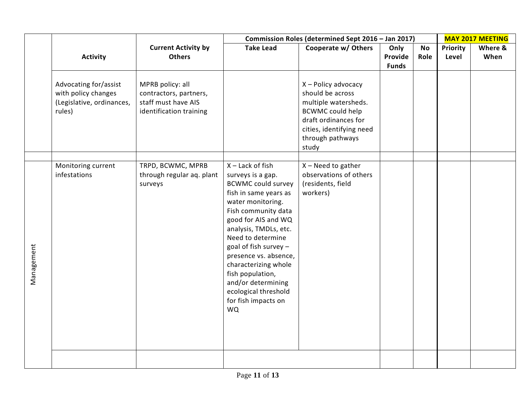|            |                                                                                     |                                                                                              | Commission Roles (determined Sept 2016 - Jan 2017)                                                                                                                                                                                                                                                                                                                                        |                                                                                                                                                                             |                                 |                   |                   | <b>MAY 2017 MEETING</b> |  |
|------------|-------------------------------------------------------------------------------------|----------------------------------------------------------------------------------------------|-------------------------------------------------------------------------------------------------------------------------------------------------------------------------------------------------------------------------------------------------------------------------------------------------------------------------------------------------------------------------------------------|-----------------------------------------------------------------------------------------------------------------------------------------------------------------------------|---------------------------------|-------------------|-------------------|-------------------------|--|
|            | <b>Activity</b>                                                                     | <b>Current Activity by</b><br><b>Others</b>                                                  | <b>Take Lead</b>                                                                                                                                                                                                                                                                                                                                                                          | Cooperate w/ Others                                                                                                                                                         | Only<br>Provide<br><b>Funds</b> | <b>No</b><br>Role | Priority<br>Level | Where &<br>When         |  |
|            | Advocating for/assist<br>with policy changes<br>(Legislative, ordinances,<br>rules) | MPRB policy: all<br>contractors, partners,<br>staff must have AIS<br>identification training |                                                                                                                                                                                                                                                                                                                                                                                           | X - Policy advocacy<br>should be across<br>multiple watersheds.<br><b>BCWMC could help</b><br>draft ordinances for<br>cities, identifying need<br>through pathways<br>study |                                 |                   |                   |                         |  |
| Management | Monitoring current<br>infestations                                                  | TRPD, BCWMC, MPRB<br>through regular aq. plant<br>surveys                                    | $X$ – Lack of fish<br>surveys is a gap.<br><b>BCWMC could survey</b><br>fish in same years as<br>water monitoring.<br>Fish community data<br>good for AIS and WQ<br>analysis, TMDLs, etc.<br>Need to determine<br>goal of fish survey $-$<br>presence vs. absence,<br>characterizing whole<br>fish population,<br>and/or determining<br>ecological threshold<br>for fish impacts on<br>WQ | $X - Need$ to gather<br>observations of others<br>(residents, field<br>workers)                                                                                             |                                 |                   |                   |                         |  |
|            |                                                                                     |                                                                                              |                                                                                                                                                                                                                                                                                                                                                                                           |                                                                                                                                                                             |                                 |                   |                   |                         |  |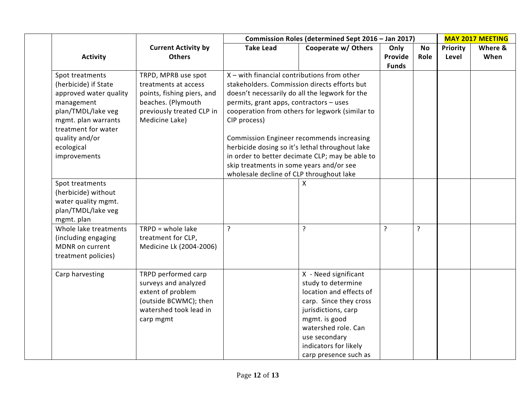|                                                                                                                                                                                                     |                                                                                                                                                | Commission Roles (determined Sept 2016 - Jan 2017)                                                                                                                                             |                                                                                                                                                                                                                                                                                                             |                                 |                   | <b>MAY 2017 MEETING</b>  |                 |  |
|-----------------------------------------------------------------------------------------------------------------------------------------------------------------------------------------------------|------------------------------------------------------------------------------------------------------------------------------------------------|------------------------------------------------------------------------------------------------------------------------------------------------------------------------------------------------|-------------------------------------------------------------------------------------------------------------------------------------------------------------------------------------------------------------------------------------------------------------------------------------------------------------|---------------------------------|-------------------|--------------------------|-----------------|--|
| <b>Activity</b>                                                                                                                                                                                     | <b>Current Activity by</b><br><b>Others</b>                                                                                                    | <b>Take Lead</b>                                                                                                                                                                               | Cooperate w/ Others                                                                                                                                                                                                                                                                                         | Only<br>Provide<br><b>Funds</b> | <b>No</b><br>Role | <b>Priority</b><br>Level | Where &<br>When |  |
| Spot treatments<br>(herbicide) if State<br>approved water quality<br>management<br>plan/TMDL/lake veg<br>mgmt. plan warrants<br>treatment for water<br>quality and/or<br>ecological<br>improvements | TRPD, MPRB use spot<br>treatments at access<br>points, fishing piers, and<br>beaches. (Plymouth<br>previously treated CLP in<br>Medicine Lake) | X - with financial contributions from other<br>permits, grant apps, contractors - uses<br>CIP process)<br>skip treatments in some years and/or see<br>wholesale decline of CLP throughout lake | stakeholders. Commission directs efforts but<br>doesn't necessarily do all the legwork for the<br>cooperation from others for legwork (similar to<br><b>Commission Engineer recommends increasing</b><br>herbicide dosing so it's lethal throughout lake<br>in order to better decimate CLP; may be able to |                                 |                   |                          |                 |  |
| Spot treatments<br>(herbicide) without<br>water quality mgmt.<br>plan/TMDL/lake veg<br>mgmt. plan                                                                                                   |                                                                                                                                                |                                                                                                                                                                                                | x                                                                                                                                                                                                                                                                                                           |                                 |                   |                          |                 |  |
| Whole lake treatments<br>(including engaging<br>MDNR on current<br>treatment policies)                                                                                                              | $TRPD = whole$ lake<br>treatment for CLP,<br>Medicine Lk (2004-2006)                                                                           | $\overline{?}$                                                                                                                                                                                 | ŗ                                                                                                                                                                                                                                                                                                           | $\overline{?}$                  | $\overline{?}$    |                          |                 |  |
| Carp harvesting                                                                                                                                                                                     | TRPD performed carp<br>surveys and analyzed<br>extent of problem<br>(outside BCWMC); then<br>watershed took lead in<br>carp mgmt               |                                                                                                                                                                                                | X - Need significant<br>study to determine<br>location and effects of<br>carp. Since they cross<br>jurisdictions, carp<br>mgmt. is good<br>watershed role. Can<br>use secondary<br>indicators for likely<br>carp presence such as                                                                           |                                 |                   |                          |                 |  |